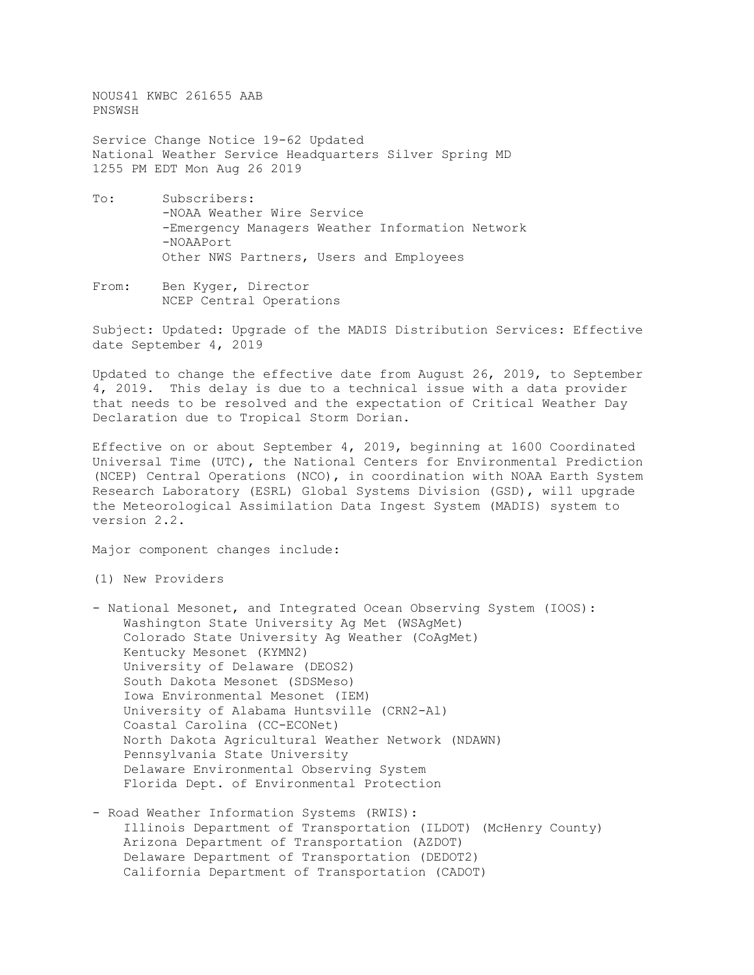NOUS41 KWBC 261655 AAB PNSWSH

Service Change Notice 19-62 Updated National Weather Service Headquarters Silver Spring MD 1255 PM EDT Mon Aug 26 2019

- To: Subscribers: -NOAA Weather Wire Service -Emergency Managers Weather Information Network -NOAAPort Other NWS Partners, Users and Employees
- From: Ben Kyger, Director NCEP Central Operations

Subject: Updated: Upgrade of the MADIS Distribution Services: Effective date September 4, 2019

Updated to change the effective date from August 26, 2019, to September 4, 2019. This delay is due to a technical issue with a data provider that needs to be resolved and the expectation of Critical Weather Day Declaration due to Tropical Storm Dorian.

Effective on or about September 4, 2019, beginning at 1600 Coordinated Universal Time (UTC), the National Centers for Environmental Prediction (NCEP) Central Operations (NCO), in coordination with NOAA Earth System Research Laboratory (ESRL) Global Systems Division (GSD), will upgrade the Meteorological Assimilation Data Ingest System (MADIS) system to version 2.2.

Major component changes include:

(1) New Providers

- National Mesonet, and Integrated Ocean Observing System (IOOS): Washington State University Ag Met (WSAgMet) Colorado State University Ag Weather (CoAgMet) Kentucky Mesonet (KYMN2) University of Delaware (DEOS2) South Dakota Mesonet (SDSMeso) Iowa Environmental Mesonet (IEM) University of Alabama Huntsville (CRN2-Al) Coastal Carolina (CC-ECONet) North Dakota Agricultural Weather Network (NDAWN) Pennsylvania State University Delaware Environmental Observing System Florida Dept. of Environmental Protection
- Road Weather Information Systems (RWIS): Illinois Department of Transportation (ILDOT) (McHenry County) Arizona Department of Transportation (AZDOT) Delaware Department of Transportation (DEDOT2) California Department of Transportation (CADOT)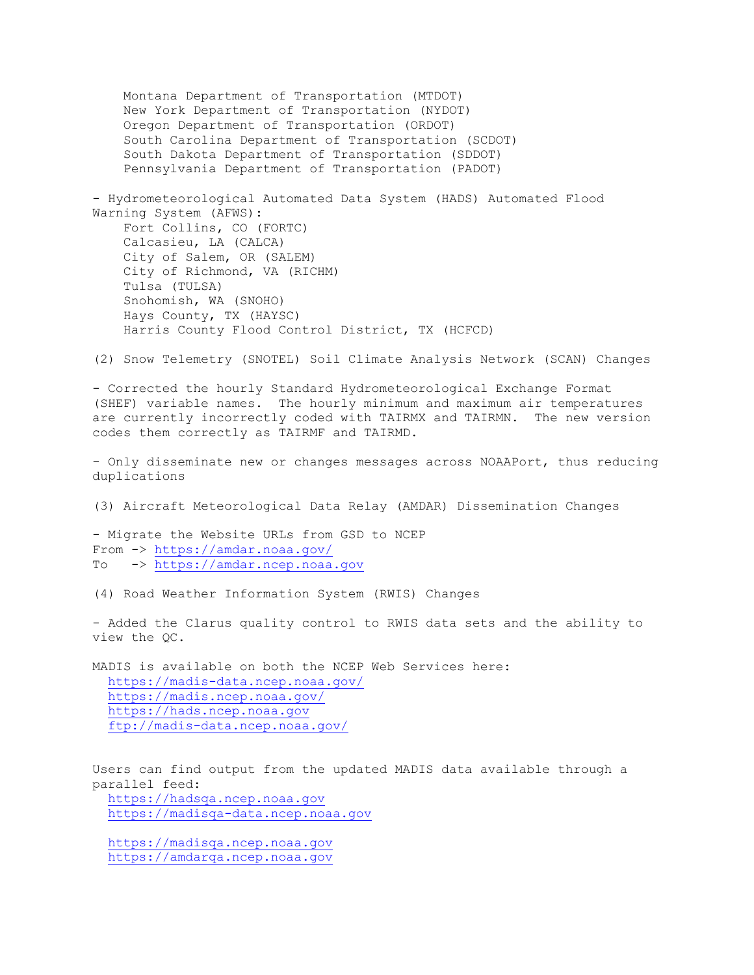Montana Department of Transportation (MTDOT) New York Department of Transportation (NYDOT) Oregon Department of Transportation (ORDOT) South Carolina Department of Transportation (SCDOT) South Dakota Department of Transportation (SDDOT) Pennsylvania Department of Transportation (PADOT) - Hydrometeorological Automated Data System (HADS) Automated Flood Warning System (AFWS): Fort Collins, CO (FORTC) Calcasieu, LA (CALCA) City of Salem, OR (SALEM) City of Richmond, VA (RICHM) Tulsa (TULSA) Snohomish, WA (SNOHO) Hays County, TX (HAYSC) Harris County Flood Control District, TX (HCFCD) (2) Snow Telemetry (SNOTEL) Soil Climate Analysis Network (SCAN) Changes - Corrected the hourly Standard Hydrometeorological Exchange Format (SHEF) variable names. The hourly minimum and maximum air temperatures are currently incorrectly coded with TAIRMX and TAIRMN. The new version codes them correctly as TAIRMF and TAIRMD. - Only disseminate new or changes messages across NOAAPort, thus reducing duplications (3) Aircraft Meteorological Data Relay (AMDAR) Dissemination Changes

- Migrate the Website URLs from GSD to NCEP From -><https://amdar.noaa.gov/> To -> [https://amdar.ncep.noaa.gov](https://amdar.ncep.noaa.gov/)

(4) Road Weather Information System (RWIS) Changes

- Added the Clarus quality control to RWIS data sets and the ability to view the QC.

MADIS is available on both the NCEP Web Services here: <https://madis-data.ncep.noaa.gov/> <https://madis.ncep.noaa.gov/> [https://hads.ncep.noaa.gov](https://hads.ncep.noaa.gov/) <ftp://madis-data.ncep.noaa.gov/>

Users can find output from the updated MADIS data available through a parallel feed: [https://hadsqa.ncep.noaa.gov](https://hadsqa.ncep.noaa.gov/)

[https://madisqa-data.ncep.noaa.gov](https://madisqa-data.ncep.noaa.gov/)

 [https://madisqa.ncep.noaa.gov](https://madisqa.ncep.noaa.gov/) [https://amdarqa.ncep.noaa.gov](https://amdarqa.ncep.noaa.gov/)